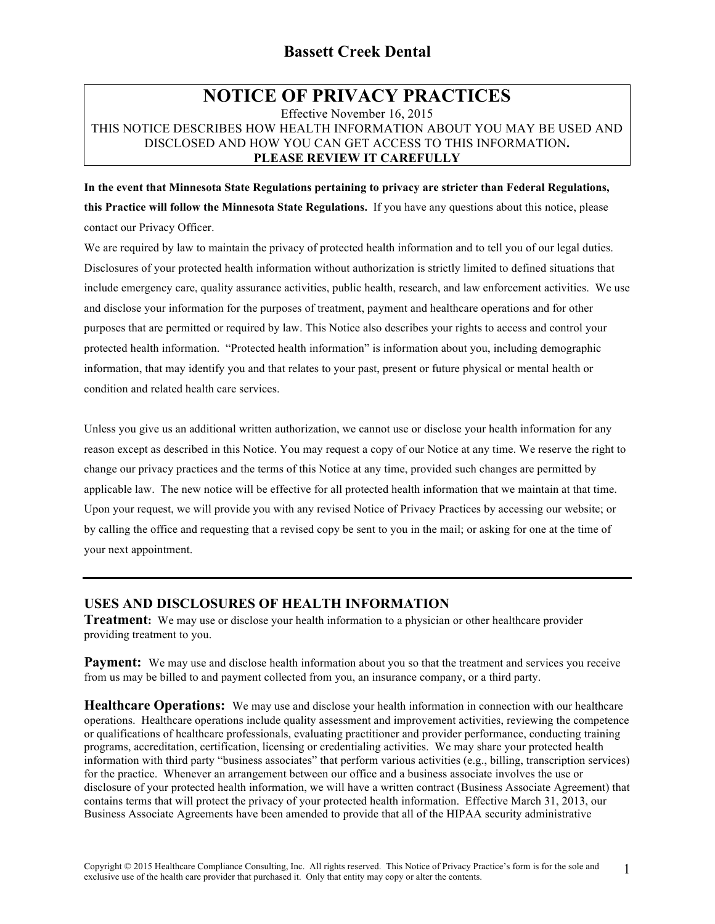# **NOTICE OF PRIVACY PRACTICES**

Effective November 16, 2015 THIS NOTICE DESCRIBES HOW HEALTH INFORMATION ABOUT YOU MAY BE USED AND DISCLOSED AND HOW YOU CAN GET ACCESS TO THIS INFORMATION**. PLEASE REVIEW IT CAREFULLY**

**In the event that Minnesota State Regulations pertaining to privacy are stricter than Federal Regulations, this Practice will follow the Minnesota State Regulations.** If you have any questions about this notice, please contact our Privacy Officer.

We are required by law to maintain the privacy of protected health information and to tell you of our legal duties. Disclosures of your protected health information without authorization is strictly limited to defined situations that include emergency care, quality assurance activities, public health, research, and law enforcement activities. We use and disclose your information for the purposes of treatment, payment and healthcare operations and for other purposes that are permitted or required by law. This Notice also describes your rights to access and control your protected health information. "Protected health information" is information about you, including demographic information, that may identify you and that relates to your past, present or future physical or mental health or condition and related health care services.

Unless you give us an additional written authorization, we cannot use or disclose your health information for any reason except as described in this Notice. You may request a copy of our Notice at any time. We reserve the right to change our privacy practices and the terms of this Notice at any time, provided such changes are permitted by applicable law. The new notice will be effective for all protected health information that we maintain at that time. Upon your request, we will provide you with any revised Notice of Privacy Practices by accessing our website; or by calling the office and requesting that a revised copy be sent to you in the mail; or asking for one at the time of your next appointment.

#### **USES AND DISCLOSURES OF HEALTH INFORMATION**

**Treatment:** We may use or disclose your health information to a physician or other healthcare provider providing treatment to you.

**Payment:** We may use and disclose health information about you so that the treatment and services you receive from us may be billed to and payment collected from you, an insurance company, or a third party.

Healthcare Operations: We may use and disclose your health information in connection with our healthcare operations. Healthcare operations include quality assessment and improvement activities, reviewing the competence or qualifications of healthcare professionals, evaluating practitioner and provider performance, conducting training programs, accreditation, certification, licensing or credentialing activities. We may share your protected health information with third party "business associates" that perform various activities (e.g., billing, transcription services) for the practice. Whenever an arrangement between our office and a business associate involves the use or disclosure of your protected health information, we will have a written contract (Business Associate Agreement) that contains terms that will protect the privacy of your protected health information. Effective March 31, 2013, our Business Associate Agreements have been amended to provide that all of the HIPAA security administrative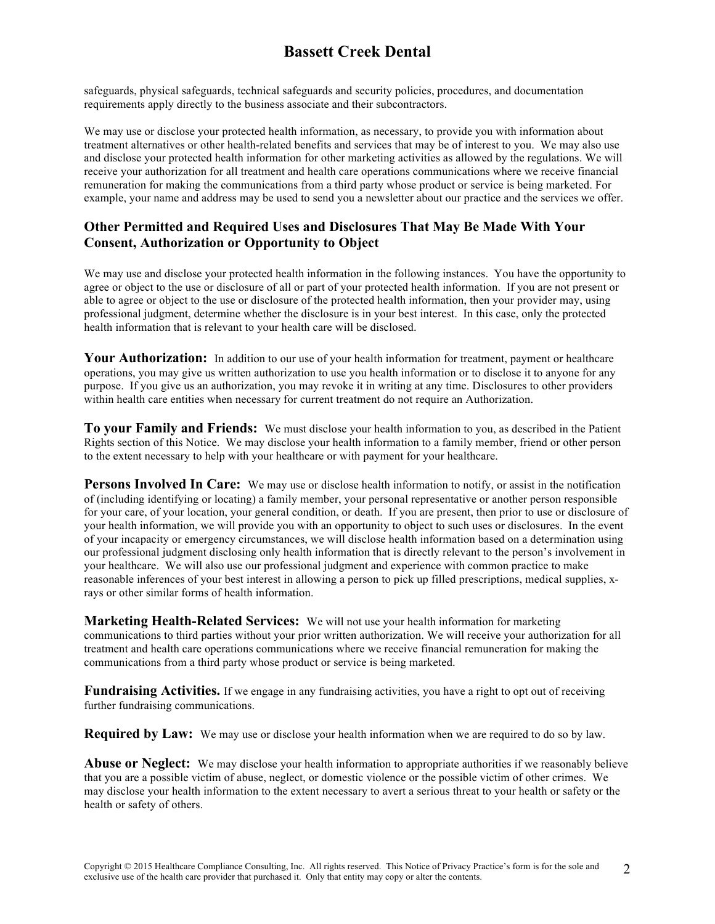# **Bassett Creek Dental**

safeguards, physical safeguards, technical safeguards and security policies, procedures, and documentation requirements apply directly to the business associate and their subcontractors.

We may use or disclose your protected health information, as necessary, to provide you with information about treatment alternatives or other health-related benefits and services that may be of interest to you. We may also use and disclose your protected health information for other marketing activities as allowed by the regulations. We will receive your authorization for all treatment and health care operations communications where we receive financial remuneration for making the communications from a third party whose product or service is being marketed. For example, your name and address may be used to send you a newsletter about our practice and the services we offer.

### **Other Permitted and Required Uses and Disclosures That May Be Made With Your Consent, Authorization or Opportunity to Object**

We may use and disclose your protected health information in the following instances. You have the opportunity to agree or object to the use or disclosure of all or part of your protected health information. If you are not present or able to agree or object to the use or disclosure of the protected health information, then your provider may, using professional judgment, determine whether the disclosure is in your best interest. In this case, only the protected health information that is relevant to your health care will be disclosed.

Your Authorization: In addition to our use of your health information for treatment, payment or healthcare operations, you may give us written authorization to use you health information or to disclose it to anyone for any purpose. If you give us an authorization, you may revoke it in writing at any time. Disclosures to other providers within health care entities when necessary for current treatment do not require an Authorization.

**To your Family and Friends:** We must disclose your health information to you, as described in the Patient Rights section of this Notice. We may disclose your health information to a family member, friend or other person to the extent necessary to help with your healthcare or with payment for your healthcare.

**Persons Involved In Care:** We may use or disclose health information to notify, or assist in the notification of (including identifying or locating) a family member, your personal representative or another person responsible for your care, of your location, your general condition, or death. If you are present, then prior to use or disclosure of your health information, we will provide you with an opportunity to object to such uses or disclosures. In the event of your incapacity or emergency circumstances, we will disclose health information based on a determination using our professional judgment disclosing only health information that is directly relevant to the person's involvement in your healthcare. We will also use our professional judgment and experience with common practice to make reasonable inferences of your best interest in allowing a person to pick up filled prescriptions, medical supplies, xrays or other similar forms of health information.

**Marketing Health-Related Services:** We will not use your health information for marketing communications to third parties without your prior written authorization. We will receive your authorization for all treatment and health care operations communications where we receive financial remuneration for making the communications from a third party whose product or service is being marketed.

**Fundraising Activities.** If we engage in any fundraising activities, you have a right to opt out of receiving further fundraising communications.

**Required by Law:** We may use or disclose your health information when we are required to do so by law.

**Abuse or Neglect:** We may disclose your health information to appropriate authorities if we reasonably believe that you are a possible victim of abuse, neglect, or domestic violence or the possible victim of other crimes. We may disclose your health information to the extent necessary to avert a serious threat to your health or safety or the health or safety of others.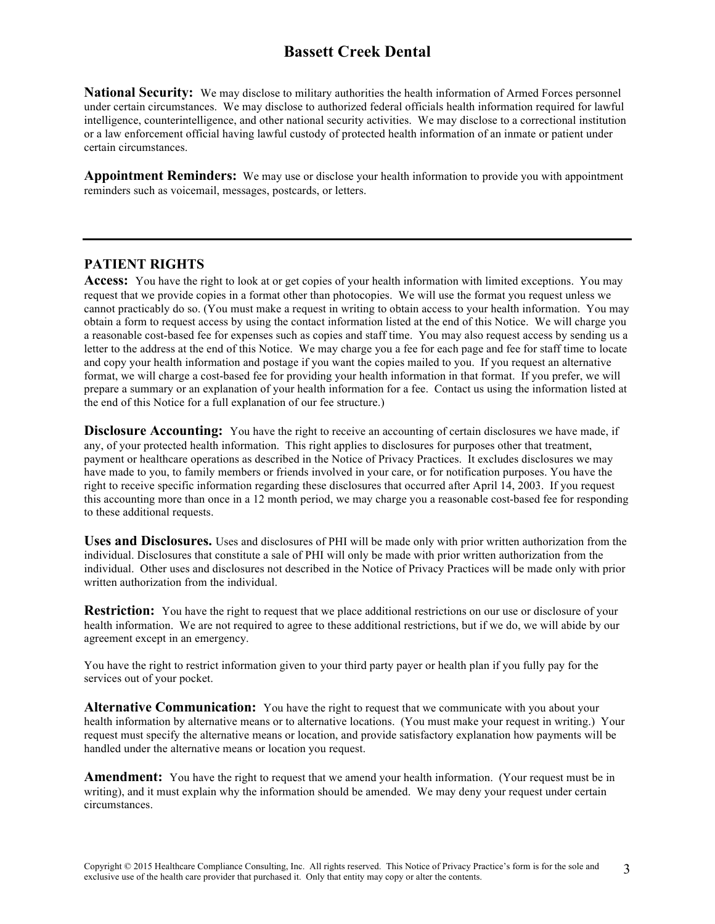### **Bassett Creek Dental**

**National Security:** We may disclose to military authorities the health information of Armed Forces personnel under certain circumstances. We may disclose to authorized federal officials health information required for lawful intelligence, counterintelligence, and other national security activities. We may disclose to a correctional institution or a law enforcement official having lawful custody of protected health information of an inmate or patient under certain circumstances.

**Appointment Reminders:** We may use or disclose your health information to provide you with appointment reminders such as voicemail, messages, postcards, or letters.

#### **PATIENT RIGHTS**

**Access:** You have the right to look at or get copies of your health information with limited exceptions. You may request that we provide copies in a format other than photocopies. We will use the format you request unless we cannot practicably do so. (You must make a request in writing to obtain access to your health information. You may obtain a form to request access by using the contact information listed at the end of this Notice. We will charge you a reasonable cost-based fee for expenses such as copies and staff time. You may also request access by sending us a letter to the address at the end of this Notice. We may charge you a fee for each page and fee for staff time to locate and copy your health information and postage if you want the copies mailed to you. If you request an alternative format, we will charge a cost-based fee for providing your health information in that format. If you prefer, we will prepare a summary or an explanation of your health information for a fee. Contact us using the information listed at the end of this Notice for a full explanation of our fee structure.)

**Disclosure Accounting:** You have the right to receive an accounting of certain disclosures we have made, if any, of your protected health information. This right applies to disclosures for purposes other that treatment, payment or healthcare operations as described in the Notice of Privacy Practices. It excludes disclosures we may have made to you, to family members or friends involved in your care, or for notification purposes. You have the right to receive specific information regarding these disclosures that occurred after April 14, 2003. If you request this accounting more than once in a 12 month period, we may charge you a reasonable cost-based fee for responding to these additional requests.

**Uses and Disclosures.** Uses and disclosures of PHI will be made only with prior written authorization from the individual. Disclosures that constitute a sale of PHI will only be made with prior written authorization from the individual. Other uses and disclosures not described in the Notice of Privacy Practices will be made only with prior written authorization from the individual.

**Restriction:** You have the right to request that we place additional restrictions on our use or disclosure of your health information. We are not required to agree to these additional restrictions, but if we do, we will abide by our agreement except in an emergency.

You have the right to restrict information given to your third party payer or health plan if you fully pay for the services out of your pocket.

**Alternative Communication:** You have the right to request that we communicate with you about your health information by alternative means or to alternative locations. (You must make your request in writing.) Your request must specify the alternative means or location, and provide satisfactory explanation how payments will be handled under the alternative means or location you request.

**Amendment:** You have the right to request that we amend your health information. (Your request must be in writing), and it must explain why the information should be amended. We may deny your request under certain circumstances.